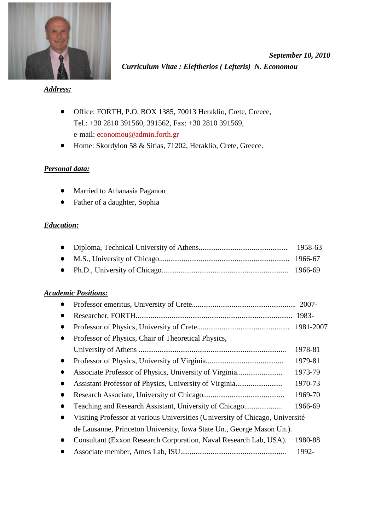

*September 10, 2010 Curriculum Vitae : Eleftherios ( Lefteris) N. Economou* 

*Address:*

- Office: FORTH, P.O. BOX 1385, 70013 Heraklio, Crete, Creece, Tel.: +30 2810 391560, 391562, Fax: +30 2810 391569, e-mail: economou@admin.forth.gr
- Home: Skordylon 58 & Sitias, 71202, Heraklio, Crete, Greece.

## *Personal data:*

- Married to Athanasia Paganou
- Father of a daughter, Sophia

## *Education:*

## *Academic Positions:*

| $\bullet$ |                                                                               |         |
|-----------|-------------------------------------------------------------------------------|---------|
| $\bullet$ |                                                                               |         |
| $\bullet$ | Professor of Physics, Chair of Theoretical Physics,                           |         |
|           |                                                                               | 1978-81 |
| $\bullet$ |                                                                               | 1979-81 |
| $\bullet$ |                                                                               | 1973-79 |
| $\bullet$ |                                                                               | 1970-73 |
| $\bullet$ |                                                                               | 1969-70 |
| $\bullet$ |                                                                               | 1966-69 |
| $\bullet$ | Visiting Professor at various Universities (University of Chicago, Université |         |
|           | de Lausanne, Princeton University, Iowa State Un., George Mason Un.).         |         |
|           | Consultant (Exxon Research Corporation, Naval Research Lab, USA).             | 1980-88 |
|           |                                                                               | 1992-   |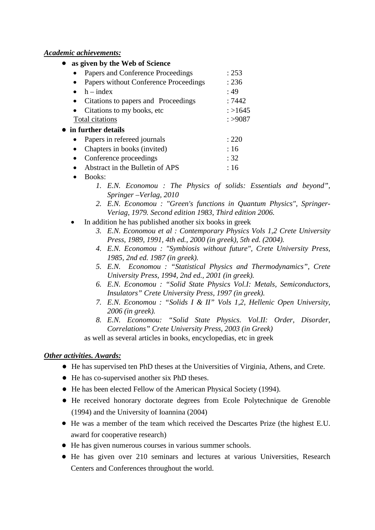## *Academic achievements:*

- **as given by the Web of Science**  • Papers and Conference Proceedings : 253 • Papers without Conference Proceedings : 236  $\bullet$  h – index : 49 • Citations to papers and Proceedings : 7442 • Citations to my books, etc  $: >1645$ Total citations  $: >9087$ • **in further details** • Papers in refereed journals : 220 • Chapters in books (invited) : 16
	- Conference proceedings : 32 • Abstract in the Bulletin of APS : 16
	- Books:
		- *1. E.N. Economou : The Physics of solids: Essentials and beyond", Springer –Verlag, 2010*
		- *2. E.N. Economou : "Green's functions in Quantum Physics", Springer-Veriag, 1979. Second edition 1983*, *Third edition 2006.*
	- In addition he has published another six books in greek
		- *3. E.N. Economou et al : Contemporary Physics Vols 1,2 Crete University Press, 1989, 1991, 4th ed., 2000 (in greek), 5th ed. (2004).*
		- *4. E.N. Economou : "Symbiosis without future", Crete University Press, 1985, 2nd ed. 1987 (in greek).*
		- *5. E.N. Economou : "Statistical Physics and Thermodynamics", Crete University Press, 1994, 2nd ed., 2001 (in greek).*
		- *6. E.N. Economou : "Solid State Physics Vol.I: Metals, Semiconductors, Insulators" Crete University Press, 1997 (in greek).*
		- *7. E.N. Economou : "Solids I & II" Vols 1,2, Hellenic Open University, 2006 (in greek).*
		- *8. E.N. Economou: "Solid State Physics. Vol.II: Order, Disorder, Correlations" Crete University Press, 2003 (in Greek)*

as well as several articles in books, encyclopedias, etc in greek

## *Other activities. Awards:*

- He has supervised ten PhD theses at the Universities of Virginia, Athens, and Crete.
- He has co-supervised another six PhD theses.
- He has been elected Fellow of the American Physical Society (1994).
- He received honorary doctorate degrees from Ecole Polytechnique de Grenoble (1994) and the University of Ioannina (2004)
- He was a member of the team which received the Descartes Prize (the highest E.U. award for cooperative research)
- He has given numerous courses in various summer schools.
- He has given over 210 seminars and lectures at various Universities, Research Centers and Conferences throughout the world.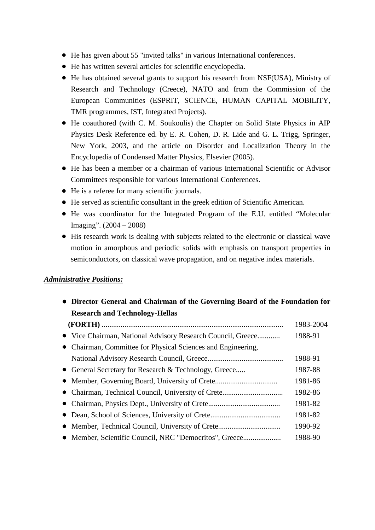- He has given about 55 "invited talks" in various International conferences.
- He has written several articles for scientific encyclopedia.
- He has obtained several grants to support his research from NSF(USA), Ministry of Research and Technology (Creece), NATO and from the Commission of the European Communities (ESPRIT, SCIENCE, HUMAN CAPITAL MOBILITY, TMR programmes, IST, Integrated Projects).
- He coauthored (with C. M. Soukoulis) the Chapter on Solid State Physics in AIP Physics Desk Reference ed. by E. R. Cohen, D. R. Lide and G. L. Trigg, Springer, New York, 2003, and the article on Disorder and Localization Theory in the Encyclopedia of Condensed Matter Physics, Elsevier (2005).
- He has been a member or a chairman of various International Scientific or Advisor Committees responsible for various International Conferences.
- He is a referee for many scientific journals.
- He served as scientific consultant in the greek edition of Scientific American.
- He was coordinator for the Integrated Program of the E.U. entitled "Molecular Imaging". (2004 – 2008)
- His research work is dealing with subjects related to the electronic or classical wave motion in amorphous and periodic solids with emphasis on transport properties in semiconductors, on classical wave propagation, and on negative index materials.

## *Administrative Positions:*

| • Director General and Chairman of the Governing Board of the Foundation for |           |  |
|------------------------------------------------------------------------------|-----------|--|
| <b>Research and Technology-Hellas</b>                                        |           |  |
|                                                                              | 1983-2004 |  |
| • Vice Chairman, National Advisory Research Council, Greece                  | 1988-91   |  |
| • Chairman, Committee for Physical Sciences and Engineering,                 |           |  |
|                                                                              | 1988-91   |  |
| • General Secretary for Research & Technology, Greece                        | 1987-88   |  |
|                                                                              | 1981-86   |  |
|                                                                              | 1982-86   |  |
|                                                                              | 1981-82   |  |
|                                                                              | 1981-82   |  |
|                                                                              | 1990-92   |  |
|                                                                              | 1988-90   |  |